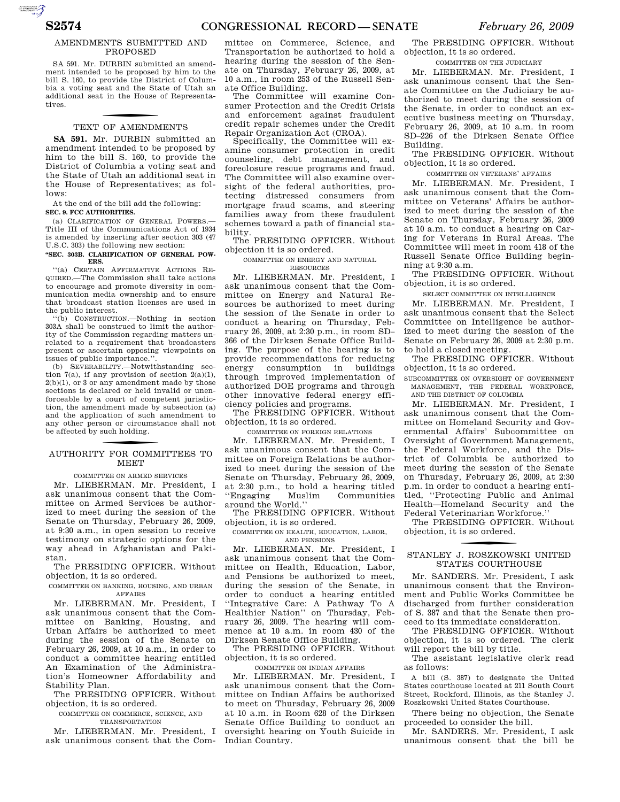#### AMENDMENTS SUBMITTED AND PROPOSED

AUTOROTOMICALE

SA 591. Mr. DURBIN submitted an amendment intended to be proposed by him to the bill S. 160, to provide the District of Columbia a voting seat and the State of Utah an additional seat in the House of Representatives.

## TEXT OF AMENDMENTS

**SA 591.** Mr. DURBIN submitted an amendment intended to be proposed by him to the bill S. 160, to provide the District of Columbia a voting seat and the State of Utah an additional seat in the House of Representatives; as follows:

At the end of the bill add the following: **SEC. 9. FCC AUTHORITIES.** 

(a) CLARIFICATION OF GENERAL POWERS. Title III of the Communications Act of 1934 is amended by inserting after section 303 (47 U.S.C. 303) the following new section:

#### **''SEC. 303B. CLARIFICATION OF GENERAL POW-ERS.**

''(a) CERTAIN AFFIRMATIVE ACTIONS RE-QUIRED.—The Commission shall take actions to encourage and promote diversity in communication media ownership and to ensure that broadcast station licenses are used in the public interest.

 $\hat{b}$ ) CONSTRUCTION.—Nothing in section 303A shall be construed to limit the authority of the Commission regarding matters unrelated to a requirement that broadcasters present or ascertain opposing viewpoints on issues of public importance.''.

(b) SEVERABILITY.—Notwithstanding section 7(a), if any provision of section  $2(a)(1)$ ,  $2(b)(1)$ , or 3 or any amendment made by those sections is declared or held invalid or unenforceable by a court of competent jurisdiction, the amendment made by subsection (a) and the application of such amendment to any other person or circumstance shall not be affected by such holding.

## f AUTHORITY FOR COMMITTEES TO **MEET**

COMMITTEE ON ARMED SERVICES

Mr. LIEBERMAN. Mr. President, I ask unanimous consent that the Committee on Armed Services be authorized to meet during the session of the Senate on Thursday, February 26, 2009, at 9:30 a.m., in open session to receive testimony on strategic options for the way ahead in Afghanistan and Pakistan.

The PRESIDING OFFICER. Without objection, it is so ordered.

COMMITTEE ON BANKING, HOUSING, AND URBAN AFFAIRS

Mr. LIEBERMAN. Mr. President, I ask unanimous consent that the Committee on Banking, Housing, and Urban Affairs be authorized to meet during the session of the Senate on February 26, 2009, at 10 a.m., in order to conduct a committee hearing entitled An Examination of the Administration's Homeowner Affordability and Stability Plan.

The PRESIDING OFFICER. Without objection, it is so ordered.

COMMITTEE ON COMMERCE, SCIENCE, AND TRANSPORTATION

Mr. LIEBERMAN. Mr. President, I ask unanimous consent that the Com-

mittee on Commerce, Science, and Transportation be authorized to hold a hearing during the session of the Senate on Thursday, February 26, 2009, at 10 a.m., in room 253 of the Russell Senate Office Building.

The Committee will examine Consumer Protection and the Credit Crisis and enforcement against fraudulent credit repair schemes under the Credit Repair Organization Act (CROA).

Specifically, the Committee will examine consumer protection in credit counseling, debt management, and foreclosure rescue programs and fraud. The Committee will also examine oversight of the federal authorities, protecting distressed consumers from mortgage fraud scams, and steering families away from these fraudulent schemes toward a path of financial stability.

The PRESIDING OFFICER. Without objection it is so ordered.

COMMITTEE ON ENERGY AND NATURAL

RESOURCES

Mr. LIEBERMAN. Mr. President, I ask unanimous consent that the Committee on Energy and Natural Resources be authorized to meet during the session of the Senate in order to conduct a hearing on Thursday, February 26, 2009, at 2:30 p.m., in room SD– 366 of the Dirksen Senate Office Building. The purpose of the hearing is to provide recommendations for reducing energy consumption in buildings through improved implementation of authorized DOE programs and through other innovative federal energy efficiency policies and programs.

The PRESIDING OFFICER. Without objection, it is so ordered.

COMMITTEE ON FOREIGN RELATIONS

Mr. LIEBERMAN. Mr. President, I ask unanimous consent that the Committee on Foreign Relations be authorized to meet during the session of the Senate on Thursday, February 26, 2009, at 2:30 p.m., to hold a hearing titled ''Engaging Muslim Communities around the World.''

The PRESIDING OFFICER. Without objection, it is so ordered.

#### COMMITTEE ON HEALTH, EDUCATION, LABOR, AND PENSIONS

Mr. LIEBERMAN. Mr. President, I ask unanimous consent that the Committee on Health, Education, Labor, and Pensions be authorized to meet, during the session of the Senate, in order to conduct a hearing entitled ''Integrative Care: A Pathway To A Healthier Nation'' on Thursday, February 26, 2009. The hearing will commence at 10 a.m. in room 430 of the Dirksen Senate Office Building.

The PRESIDING OFFICER. Without objection, it is so ordered.

COMMITTEE ON INDIAN AFFAIRS

Mr. LIEBERMAN. Mr. President, I ask unanimous consent that the Committee on Indian Affairs be authorized to meet on Thursday, February 26, 2009 at 10 a.m. in Room 628 of the Dirksen Senate Office Building to conduct an oversight hearing on Youth Suicide in Indian Country.

The PRESIDING OFFICER. Without objection, it is so ordered.

COMMITTEE ON THE JUDICIARY

Mr. LIEBERMAN. Mr. President, I ask unanimous consent that the Senate Committee on the Judiciary be authorized to meet during the session of the Senate, in order to conduct an executive business meeting on Thursday, February 26, 2009, at 10 a.m. in room SD–226 of the Dirksen Senate Office Building.

The PRESIDING OFFICER. Without objection, it is so ordered.

COMMITTEE ON VETERANS' AFFAIRS

Mr. LIEBERMAN. Mr. President, I ask unanimous consent that the Committee on Veterans' Affairs be authorized to meet during the session of the Senate on Thursday, February 26, 2009 at 10 a.m. to conduct a hearing on Caring for Veterans in Rural Areas. The Committee will meet in room 418 of the Russell Senate Office Building beginning at 9:30 a.m.

The PRESIDING OFFICER. Without objection, it is so ordered.

SELECT COMMITTEE ON INTELLIGENCE

Mr. LIEBERMAN. Mr. President, I ask unanimous consent that the Select Committee on Intelligence be authorized to meet during the session of the Senate on February 26, 2009 at 2:30 p.m. to hold a closed meeting.

The PRESIDING OFFICER. Without objection, it is so ordered.

SUBCOMMITTEE ON OVERSIGHT OF GOVERNMENT MANAGEMENT, THE FEDERAL WORKFORCE, AND THE DISTRICT OF COLUMBIA

Mr. LIEBERMAN. Mr. President, I ask unanimous consent that the Committee on Homeland Security and Governmental Affairs' Subcommittee on Oversight of Government Management, the Federal Workforce, and the District of Columbia be authorized to meet during the session of the Senate on Thursday, February 26, 2009, at 2:30 p.m. in order to conduct a hearing entitled, ''Protecting Public and Animal Health—Homeland Security and the Federal Veterinarian Workforce.''

The PRESIDING OFFICER. Without objection, it is so ordered.

### f STANLEY J. ROSZKOWSKI UNITED STATES COURTHOUSE

Mr. SANDERS. Mr. President, I ask unanimous consent that the Environment and Public Works Committee be discharged from further consideration of S. 387 and that the Senate then proceed to its immediate consideration.

The PRESIDING OFFICER. Without objection, it is so ordered. The clerk will report the bill by title.

The assistant legislative clerk read as follows:

A bill (S. 387) to designate the United States courthouse located at 211 South Court Street, Rockford, Illinois, as the Stanley J. Roszkowski United States Courthouse.

There being no objection, the Senate proceeded to consider the bill.

Mr. SANDERS. Mr. President, I ask unanimous consent that the bill be